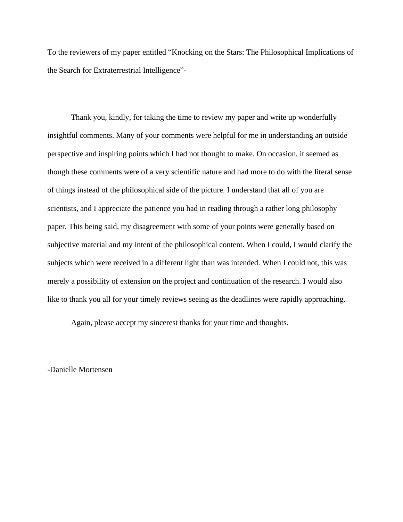To the reviewers of my paper entitled "Knocking on the Stars: The Philosophical Implications of the Search for Extraterrestrial Intelligence"-

Thank you, kindly, for taking the time to review my paper and write up wonderfully insightful comments. Many of your comments were helpful for me in understanding an outside perspective and inspiring points which I had not thought to make. On occasion, it seemed as though these comments were of a very scientific nature and had more to do with the literal sense of things instead of the philosophical side of the picture. I understand that all of you are scientists, and I appreciate the patience you had in reading through a rather long philosophy paper. This being said, my disagreement with some of your points were generally based on subjective material and my intent of the philosophical content. When I could, I would clarify the subjects which were received in a different light than was intended. When I could not, this was merely a possibility of extension on the project and continuation of the research. I would also like to thank you all for your timely reviews seeing as the deadlines were rapidly approaching.

Again, please accept my sincerest thanks for your time and thoughts.

-Danielle Mortensen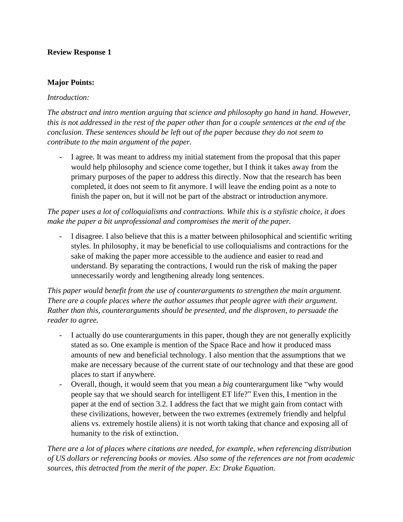#### **Major Points:**

#### *Introduction:*

*The abstract and intro mention arguing that science and philosophy go hand in hand. However, this is not addressed in the rest of the paper other than for a couple sentences at the end of the conclusion. These sentences should be left out of the paper because they do not seem to contribute to the main argument of the paper.*

I agree. It was meant to address my initial statement from the proposal that this paper would help philosophy and science come together, but I think it takes away from the primary purposes of the paper to address this directly. Now that the research has been completed, it does not seem to fit anymore. I will leave the ending point as a note to finish the paper on, but it will not be part of the abstract or introduction anymore.

*The paper uses a lot of colloquialisms and contractions. While this is a stylistic choice, it does make the paper a bit unprofessional and compromises the merit of the paper.*

- I disagree. I also believe that this is a matter between philosophical and scientific writing styles. In philosophy, it may be beneficial to use colloquialisms and contractions for the sake of making the paper more accessible to the audience and easier to read and understand. By separating the contractions, I would run the risk of making the paper unnecessarily wordy and lengthening already long sentences.

*This paper would benefit from the use of counterarguments to strengthen the main argument. There are a couple places where the author assumes that people agree with their argument. Rather than this, counterarguments should be presented, and the disproven, to persuade the reader to agree.*

- I actually do use counterarguments in this paper, though they are not generally explicitly stated as so. One example is mention of the Space Race and how it produced mass amounts of new and beneficial technology. I also mention that the assumptions that we make are necessary because of the current state of our technology and that these are good places to start if anywhere.
- Overall, though, it would seem that you mean a *big* counterargument like "why would people say that we should search for intelligent ET life?" Even this, I mention in the paper at the end of section 3.2. I address the fact that we might gain from contact with these civilizations, however, between the two extremes (extremely friendly and helpful aliens vs. extremely hostile aliens) it is not worth taking that chance and exposing all of humanity to the risk of extinction.

*There are a lot of places where citations are needed, for example, when referencing distribution of US dollars or referencing books or movies. Also some of the references are not from academic sources, this detracted from the merit of the paper. Ex: Drake Equation.*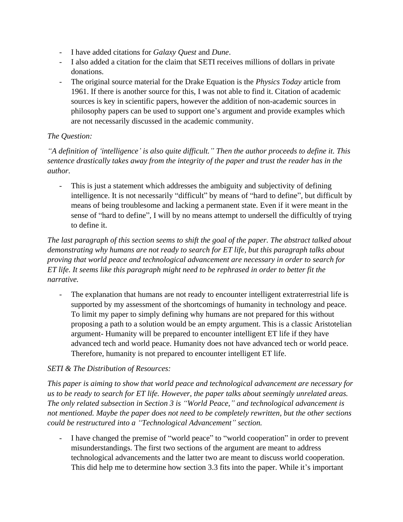- I have added citations for *Galaxy Quest* and *Dune*.
- I also added a citation for the claim that SETI receives millions of dollars in private donations.
- The original source material for the Drake Equation is the *Physics Today* article from 1961. If there is another source for this, I was not able to find it. Citation of academic sources is key in scientific papers, however the addition of non-academic sources in philosophy papers can be used to support one's argument and provide examples which are not necessarily discussed in the academic community.

## *The Question:*

*"A definition of 'intelligence' is also quite difficult." Then the author proceeds to define it. This sentence drastically takes away from the integrity of the paper and trust the reader has in the author.*

- This is just a statement which addresses the ambiguity and subjectivity of defining intelligence. It is not necessarily "difficult" by means of "hard to define", but difficult by means of being troublesome and lacking a permanent state. Even if it were meant in the sense of "hard to define", I will by no means attempt to undersell the difficultly of trying to define it.

*The last paragraph of this section seems to shift the goal of the paper. The abstract talked about demonstrating why humans are not ready to search for ET life, but this paragraph talks about proving that world peace and technological advancement are necessary in order to search for ET life. It seems like this paragraph might need to be rephrased in order to better fit the narrative.*

The explanation that humans are not ready to encounter intelligent extraterrestrial life is supported by my assessment of the shortcomings of humanity in technology and peace. To limit my paper to simply defining why humans are not prepared for this without proposing a path to a solution would be an empty argument. This is a classic Aristotelian argument- Humanity will be prepared to encounter intelligent ET life if they have advanced tech and world peace. Humanity does not have advanced tech or world peace. Therefore, humanity is not prepared to encounter intelligent ET life.

## *SETI & The Distribution of Resources:*

*This paper is aiming to show that world peace and technological advancement are necessary for us to be ready to search for ET life. However, the paper talks about seemingly unrelated areas. The only related subsection in Section 3 is "World Peace," and technological advancement is not mentioned. Maybe the paper does not need to be completely rewritten, but the other sections could be restructured into a "Technological Advancement" section.*

- I have changed the premise of "world peace" to "world cooperation" in order to prevent misunderstandings. The first two sections of the argument are meant to address technological advancements and the latter two are meant to discuss world cooperation. This did help me to determine how section 3.3 fits into the paper. While it's important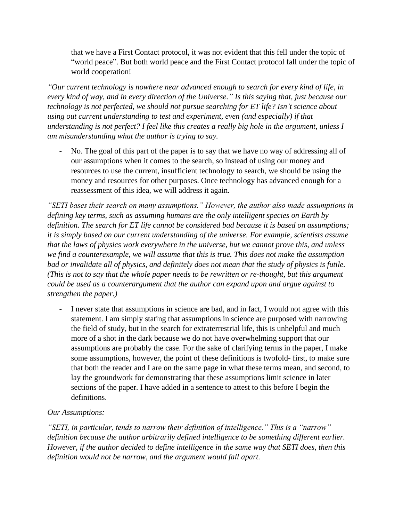that we have a First Contact protocol, it was not evident that this fell under the topic of "world peace". But both world peace and the First Contact protocol fall under the topic of world cooperation!

*"Our current technology is nowhere near advanced enough to search for every kind of life, in every kind of way, and in every direction of the Universe." Is this saying that, just because our technology is not perfected, we should not pursue searching for ET life? Isn't science about using out current understanding to test and experiment, even (and especially) if that understanding is not perfect? I feel like this creates a really big hole in the argument, unless I am misunderstanding what the author is trying to say.*

No. The goal of this part of the paper is to say that we have no way of addressing all of our assumptions when it comes to the search, so instead of using our money and resources to use the current, insufficient technology to search, we should be using the money and resources for other purposes. Once technology has advanced enough for a reassessment of this idea, we will address it again.

*"SETI bases their search on many assumptions." However, the author also made assumptions in defining key terms, such as assuming humans are the only intelligent species on Earth by definition. The search for ET life cannot be considered bad because it is based on assumptions; it is simply based on our current understanding of the universe. For example, scientists assume that the laws of physics work everywhere in the universe, but we cannot prove this, and unless we find a counterexample, we will assume that this is true. This does not make the assumption bad or invalidate all of physics, and definitely does not mean that the study of physics is futile. (This is not to say that the whole paper needs to be rewritten or re-thought, but this argument could be used as a counterargument that the author can expand upon and argue against to strengthen the paper.)*

I never state that assumptions in science are bad, and in fact, I would not agree with this statement. I am simply stating that assumptions in science are purposed with narrowing the field of study, but in the search for extraterrestrial life, this is unhelpful and much more of a shot in the dark because we do not have overwhelming support that our assumptions are probably the case. For the sake of clarifying terms in the paper, I make some assumptions, however, the point of these definitions is twofold- first, to make sure that both the reader and I are on the same page in what these terms mean, and second, to lay the groundwork for demonstrating that these assumptions limit science in later sections of the paper. I have added in a sentence to attest to this before I begin the definitions.

## *Our Assumptions:*

*"SETI, in particular, tends to narrow their definition of intelligence." This is a "narrow" definition because the author arbitrarily defined intelligence to be something different earlier. However, if the author decided to define intelligence in the same way that SETI does, then this definition would not be narrow, and the argument would fall apart.*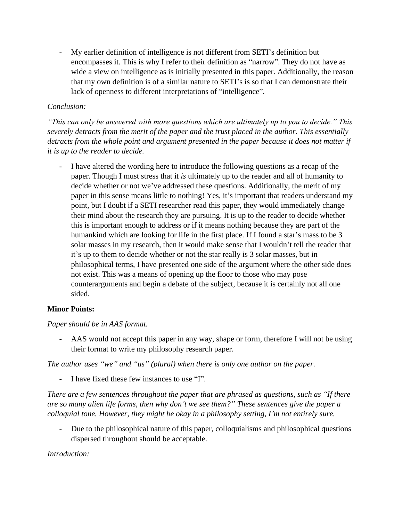My earlier definition of intelligence is not different from SETI's definition but encompasses it. This is why I refer to their definition as "narrow". They do not have as wide a view on intelligence as is initially presented in this paper. Additionally, the reason that my own definition is of a similar nature to SETI's is so that I can demonstrate their lack of openness to different interpretations of "intelligence".

## *Conclusion:*

*"This can only be answered with more questions which are ultimately up to you to decide." This severely detracts from the merit of the paper and the trust placed in the author. This essentially detracts from the whole point and argument presented in the paper because it does not matter if it is up to the reader to decide.*

- I have altered the wording here to introduce the following questions as a recap of the paper. Though I must stress that it *is* ultimately up to the reader and all of humanity to decide whether or not we've addressed these questions. Additionally, the merit of my paper in this sense means little to nothing! Yes, it's important that readers understand my point, but I doubt if a SETI researcher read this paper, they would immediately change their mind about the research they are pursuing. It is up to the reader to decide whether this is important enough to address or if it means nothing because they are part of the humankind which are looking for life in the first place. If I found a star's mass to be 3 solar masses in my research, then it would make sense that I wouldn't tell the reader that it's up to them to decide whether or not the star really is 3 solar masses, but in philosophical terms, I have presented one side of the argument where the other side does not exist. This was a means of opening up the floor to those who may pose counterarguments and begin a debate of the subject, because it is certainly not all one sided.

# **Minor Points:**

## *Paper should be in AAS format.*

- AAS would not accept this paper in any way, shape or form, therefore I will not be using their format to write my philosophy research paper.

*The author uses "we" and "us" (plural) when there is only one author on the paper.*

- I have fixed these few instances to use "I".

*There are a few sentences throughout the paper that are phrased as questions, such as "If there are so many alien life forms, then why don't we see them?" These sentences give the paper a colloquial tone. However, they might be okay in a philosophy setting, I'm not entirely sure.*

Due to the philosophical nature of this paper, colloquialisms and philosophical questions dispersed throughout should be acceptable.

## *Introduction:*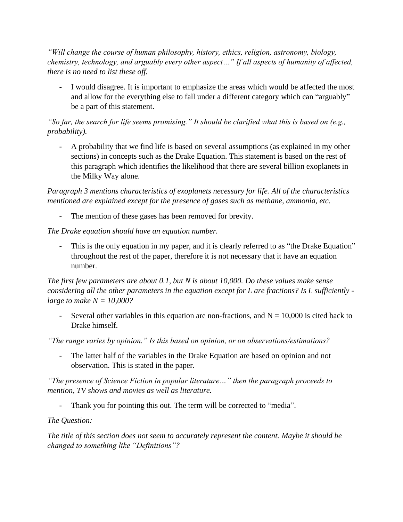*"Will change the course of human philosophy, history, ethics, religion, astronomy, biology, chemistry, technology, and arguably every other aspect…" If all aspects of humanity of affected, there is no need to list these off.*

- I would disagree. It is important to emphasize the areas which would be affected the most and allow for the everything else to fall under a different category which can "arguably" be a part of this statement.

*"So far, the search for life seems promising." It should be clarified what this is based on (e.g., probability).*

- A probability that we find life is based on several assumptions (as explained in my other sections) in concepts such as the Drake Equation. This statement is based on the rest of this paragraph which identifies the likelihood that there are several billion exoplanets in the Milky Way alone.

*Paragraph 3 mentions characteristics of exoplanets necessary for life. All of the characteristics mentioned are explained except for the presence of gases such as methane, ammonia, etc.*

The mention of these gases has been removed for brevity.

*The Drake equation should have an equation number.*

This is the only equation in my paper, and it is clearly referred to as "the Drake Equation" throughout the rest of the paper, therefore it is not necessary that it have an equation number.

*The first few parameters are about 0.1, but N is about 10,000. Do these values make sense considering all the other parameters in the equation except for L are fractions? Is L sufficiently large to make N = 10,000?*

Several other variables in this equation are non-fractions, and  $N = 10,000$  is cited back to Drake himself.

*"The range varies by opinion." Is this based on opinion, or on observations/estimations?*

- The latter half of the variables in the Drake Equation are based on opinion and not observation. This is stated in the paper.

*"The presence of Science Fiction in popular literature…" then the paragraph proceeds to mention, TV shows and movies as well as literature.*

- Thank you for pointing this out. The term will be corrected to "media".

*The Question:*

*The title of this section does not seem to accurately represent the content. Maybe it should be changed to something like "Definitions"?*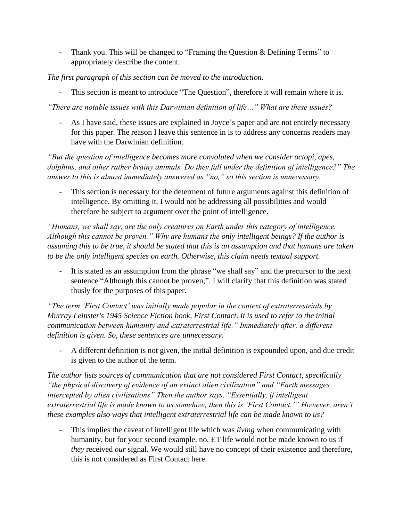- Thank you. This will be changed to "Framing the Question & Defining Terms" to appropriately describe the content.

*The first paragraph of this section can be moved to the introduction.*

- This section is meant to introduce "The Question", therefore it will remain where it is.

*"There are notable issues with this Darwinian definition of life…" What are these issues?*

- As I have said, these issues are explained in Joyce's paper and are not entirely necessary for this paper. The reason I leave this sentence in is to address any concerns readers may have with the Darwinian definition.

*"But the question of intelligence becomes more convoluted when we consider octopi, apes, dolphins, and other rather brainy animals. Do they fall under the definition of intelligence?" The answer to this is almost immediately answered as "no," so this section is unnecessary.*

This section is necessary for the determent of future arguments against this definition of intelligence. By omitting it, I would not be addressing all possibilities and would therefore be subject to argument over the point of intelligence.

*"Humans, we shall say, are the only creatures on Earth under this category of intelligence. Although this cannot be proven." Why are humans the only intelligent beings? If the author is assuming this to be true, it should be stated that this is an assumption and that humans are taken to be the only intelligent species on earth. Otherwise, this claim needs textual support.*

It is stated as an assumption from the phrase "we shall say" and the precursor to the next sentence "Although this cannot be proven,". I will clarify that this definition was stated thusly for the purposes of this paper.

*"The term 'First Contact' was initially made popular in the context of extraterrestrials by Murray Leinster's 1945 Science Fiction book, First Contact. It is used to refer to the initial communication between humanity and extraterrestrial life." Immediately after, a different definition is given. So, these sentences are unnecessary.*

- A different definition is not given, the initial definition is expounded upon, and due credit is given to the author of the term.

*The author lists sources of communication that are not considered First Contact, specifically "the physical discovery of evidence of an extinct alien civilization" and "Earth messages intercepted by alien civilizations" Then the author says, "Essentially, if intelligent extraterrestrial life is made known to us somehow, then this is 'First Contact.'" However, aren't these examples also ways that intelligent extraterrestrial life can be made known to us?*

- This implies the caveat of intelligent life which was *living* when communicating with humanity, but for your second example, no, ET life would not be made known to us if *they* received *our* signal. We would still have no concept of their existence and therefore, this is not considered as First Contact here.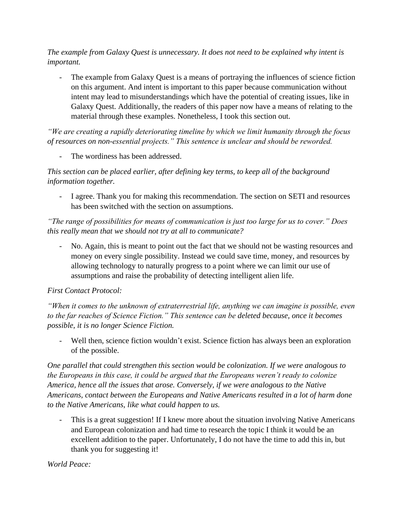*The example from Galaxy Quest is unnecessary. It does not need to be explained why intent is important.*

The example from Galaxy Quest is a means of portraying the influences of science fiction on this argument. And intent is important to this paper because communication without intent may lead to misunderstandings which have the potential of creating issues, like in Galaxy Quest. Additionally, the readers of this paper now have a means of relating to the material through these examples. Nonetheless, I took this section out.

*"We are creating a rapidly deteriorating timeline by which we limit humanity through the focus of resources on non-essential projects." This sentence is unclear and should be reworded.*

The wordiness has been addressed.

*This section can be placed earlier, after defining key terms, to keep all of the background information together.*

- I agree. Thank you for making this recommendation. The section on SETI and resources has been switched with the section on assumptions.

*"The range of possibilities for means of communication is just too large for us to cover." Does this really mean that we should not try at all to communicate?*

- No. Again, this is meant to point out the fact that we should not be wasting resources and money on every single possibility. Instead we could save time, money, and resources by allowing technology to naturally progress to a point where we can limit our use of assumptions and raise the probability of detecting intelligent alien life.

# *First Contact Protocol:*

*"When it comes to the unknown of extraterrestrial life, anything we can imagine is possible, even to the far reaches of Science Fiction." This sentence can be deleted because, once it becomes possible, it is no longer Science Fiction.*

Well then, science fiction wouldn't exist. Science fiction has always been an exploration of the possible.

*One parallel that could strengthen this section would be colonization. If we were analogous to the Europeans in this case, it could be argued that the Europeans weren't ready to colonize America, hence all the issues that arose. Conversely, if we were analogous to the Native Americans, contact between the Europeans and Native Americans resulted in a lot of harm done to the Native Americans, like what could happen to us.*

This is a great suggestion! If I knew more about the situation involving Native Americans and European colonization and had time to research the topic I think it would be an excellent addition to the paper. Unfortunately, I do not have the time to add this in, but thank you for suggesting it!

*World Peace:*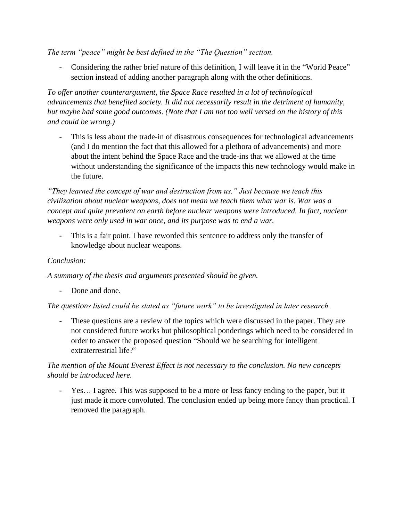*The term "peace" might be best defined in the "The Question" section.*

Considering the rather brief nature of this definition, I will leave it in the "World Peace" section instead of adding another paragraph along with the other definitions.

*To offer another counterargument, the Space Race resulted in a lot of technological advancements that benefited society. It did not necessarily result in the detriment of humanity, but maybe had some good outcomes. (Note that I am not too well versed on the history of this and could be wrong.)*

This is less about the trade-in of disastrous consequences for technological advancements (and I do mention the fact that this allowed for a plethora of advancements) and more about the intent behind the Space Race and the trade-ins that we allowed at the time without understanding the significance of the impacts this new technology would make in the future.

*"They learned the concept of war and destruction from us." Just because we teach this civilization about nuclear weapons, does not mean we teach them what war is. War was a concept and quite prevalent on earth before nuclear weapons were introduced. In fact, nuclear weapons were only used in war once, and its purpose was to end a war.*

This is a fair point. I have reworded this sentence to address only the transfer of knowledge about nuclear weapons.

## *Conclusion:*

*A summary of the thesis and arguments presented should be given.*

Done and done.

*The questions listed could be stated as "future work" to be investigated in later research.*

- These questions are a review of the topics which were discussed in the paper. They are not considered future works but philosophical ponderings which need to be considered in order to answer the proposed question "Should we be searching for intelligent extraterrestrial life?"

## *The mention of the Mount Everest Effect is not necessary to the conclusion. No new concepts should be introduced here.*

- Yes… I agree. This was supposed to be a more or less fancy ending to the paper, but it just made it more convoluted. The conclusion ended up being more fancy than practical. I removed the paragraph.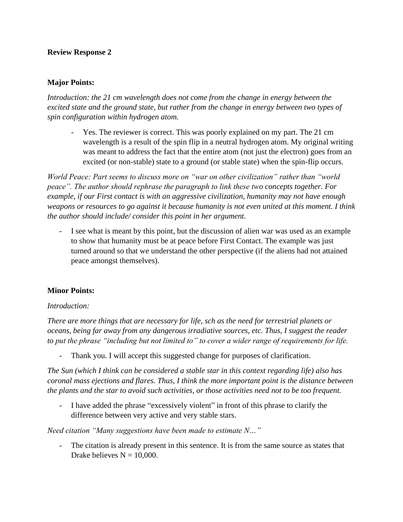#### **Major Points:**

*Introduction: the 21 cm wavelength does not come from the change in energy between the excited state and the ground state, but rather from the change in energy between two types of spin configuration within hydrogen atom.*

- Yes. The reviewer is correct. This was poorly explained on my part. The 21 cm wavelength is a result of the spin flip in a neutral hydrogen atom. My original writing was meant to address the fact that the entire atom (not just the electron) goes from an excited (or non-stable) state to a ground (or stable state) when the spin-flip occurs.

*World Peace: Part seems to discuss more on "war on other civilization" rather than "world peace". The author should rephrase the paragraph to link these two concepts together. For example, if our First contact is with an aggressive civilization, humanity may not have enough weapons or resources to go against it because humanity is not even united at this moment. I think the author should include/ consider this point in her argument.*

- I see what is meant by this point, but the discussion of alien war was used as an example to show that humanity must be at peace before First Contact. The example was just turned around so that we understand the other perspective (if the aliens had not attained peace amongst themselves).

## **Minor Points:**

#### *Introduction:*

*There are more things that are necessary for life, sch as the need for terrestrial planets or oceans, being far away from any dangerous irradiative sources, etc. Thus, I suggest the reader to put the phrase "including but not limited to" to cover a wider range of requirements for life.*

Thank you. I will accept this suggested change for purposes of clarification.

*The Sun (which I think can be considered a stable star in this context regarding life) also has coronal mass ejections and flares. Thus, I think the more important point is the distance between the plants and the star to avoid such activities, or those activities need not to be too frequent.*

- I have added the phrase "excessively violent" in front of this phrase to clarify the difference between very active and very stable stars.

*Need citation "Many suggestions have been made to estimate N…"*

The citation is already present in this sentence. It is from the same source as states that Drake believes  $N = 10,000$ .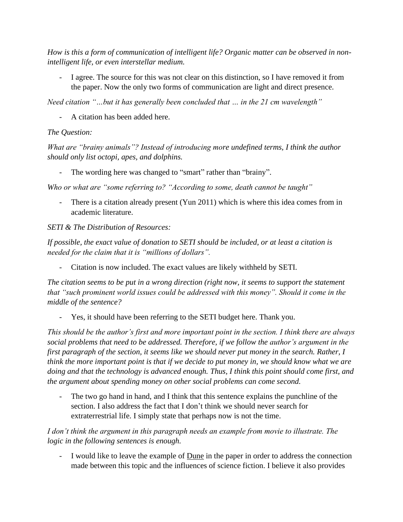*How is this a form of communication of intelligent life? Organic matter can be observed in nonintelligent life, or even interstellar medium.*

I agree. The source for this was not clear on this distinction, so I have removed it from the paper. Now the only two forms of communication are light and direct presence.

*Need citation "…but it has generally been concluded that … in the 21 cm wavelength"*

A citation has been added here.

# *The Question:*

*What are "brainy animals"? Instead of introducing more undefined terms, I think the author should only list octopi, apes, and dolphins.*

The wording here was changed to "smart" rather than "brainy".

*Who or what are "some referring to? "According to some, death cannot be taught"*

There is a citation already present (Yun 2011) which is where this idea comes from in academic literature.

# *SETI & The Distribution of Resources:*

*If possible, the exact value of donation to SETI should be included, or at least a citation is needed for the claim that it is "millions of dollars".*

- Citation is now included. The exact values are likely withheld by SETI.

*The citation seems to be put in a wrong direction (right now, it seems to support the statement that "such prominent world issues could be addressed with this money". Should it come in the middle of the sentence?*

- Yes, it should have been referring to the SETI budget here. Thank you.

*This should be the author's first and more important point in the section. I think there are always social problems that need to be addressed. Therefore, if we follow the author's argument in the first paragraph of the section, it seems like we should never put money in the search. Rather, I think the more important point is that if we decide to put money in, we should know what we are doing and that the technology is advanced enough. Thus, I think this point should come first, and the argument about spending money on other social problems can come second.*

The two go hand in hand, and I think that this sentence explains the punchline of the section. I also address the fact that I don't think we should never search for extraterrestrial life. I simply state that perhaps now is not the time.

*I don't think the argument in this paragraph needs an example from movie to illustrate. The logic in the following sentences is enough.*

I would like to leave the example of Dune in the paper in order to address the connection made between this topic and the influences of science fiction. I believe it also provides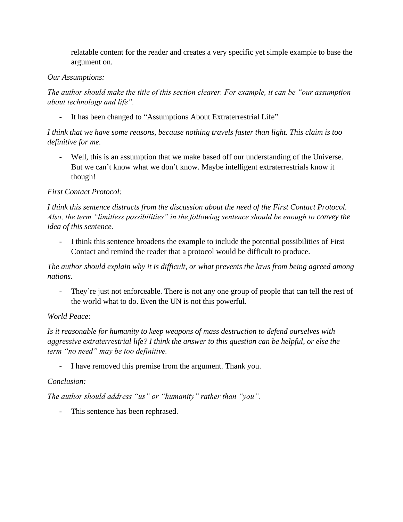relatable content for the reader and creates a very specific yet simple example to base the argument on.

### *Our Assumptions:*

*The author should make the title of this section clearer. For example, it can be "our assumption about technology and life".*

It has been changed to "Assumptions About Extraterrestrial Life"

*I think that we have some reasons, because nothing travels faster than light. This claim is too definitive for me.*

Well, this is an assumption that we make based off our understanding of the Universe. But we can't know what we don't know. Maybe intelligent extraterrestrials know it though!

## *First Contact Protocol:*

*I think this sentence distracts from the discussion about the need of the First Contact Protocol. Also, the term "limitless possibilities" in the following sentence should be enough to convey the idea of this sentence.*

- I think this sentence broadens the example to include the potential possibilities of First Contact and remind the reader that a protocol would be difficult to produce.

*The author should explain why it is difficult, or what prevents the laws from being agreed among nations.*

- They're just not enforceable. There is not any one group of people that can tell the rest of the world what to do. Even the UN is not this powerful.

## *World Peace:*

*Is it reasonable for humanity to keep weapons of mass destruction to defend ourselves with aggressive extraterrestrial life? I think the answer to this question can be helpful, or else the term "no need" may be too definitive.*

- I have removed this premise from the argument. Thank you.

## *Conclusion:*

*The author should address "us" or "humanity" rather than "you".*

- This sentence has been rephrased.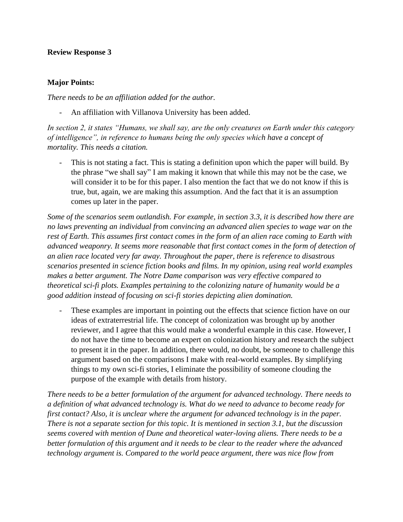#### **Major Points:**

*There needs to be an affiliation added for the author.*

An affiliation with Villanova University has been added.

*In section 2, it states "Humans, we shall say, are the only creatures on Earth under this category of intelligence", in reference to humans being the only species which have a concept of mortality. This needs a citation.*

This is not stating a fact. This is stating a definition upon which the paper will build. By the phrase "we shall say" I am making it known that while this may not be the case, we will consider it to be for this paper. I also mention the fact that we do not know if this is true, but, again, we are making this assumption. And the fact that it is an assumption comes up later in the paper.

*Some of the scenarios seem outlandish. For example, in section 3.3, it is described how there are no laws preventing an individual from convincing an advanced alien species to wage war on the rest of Earth. This assumes first contact comes in the form of an alien race coming to Earth with advanced weaponry. It seems more reasonable that first contact comes in the form of detection of an alien race located very far away. Throughout the paper, there is reference to disastrous scenarios presented in science fiction books and films. In my opinion, using real world examples makes a better argument. The Notre Dame comparison was very effective compared to theoretical sci-fi plots. Examples pertaining to the colonizing nature of humanity would be a good addition instead of focusing on sci-fi stories depicting alien domination.*

These examples are important in pointing out the effects that science fiction have on our ideas of extraterrestrial life. The concept of colonization was brought up by another reviewer, and I agree that this would make a wonderful example in this case. However, I do not have the time to become an expert on colonization history and research the subject to present it in the paper. In addition, there would, no doubt, be someone to challenge this argument based on the comparisons I make with real-world examples. By simplifying things to my own sci-fi stories, I eliminate the possibility of someone clouding the purpose of the example with details from history.

*There needs to be a better formulation of the argument for advanced technology. There needs to a definition of what advanced technology is. What do we need to advance to become ready for first contact? Also, it is unclear where the argument for advanced technology is in the paper. There is not a separate section for this topic. It is mentioned in section 3.1, but the discussion seems covered with mention of Dune and theoretical water-loving aliens. There needs to be a better formulation of this argument and it needs to be clear to the reader where the advanced technology argument is. Compared to the world peace argument, there was nice flow from*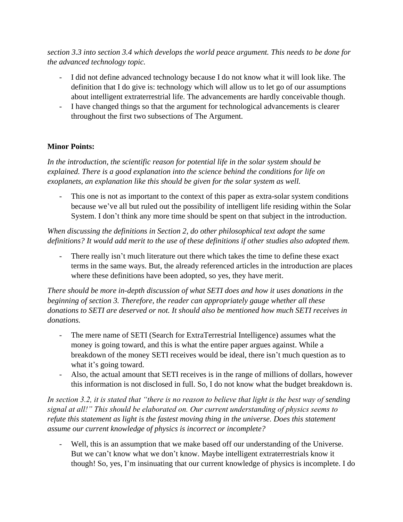*section 3.3 into section 3.4 which develops the world peace argument. This needs to be done for the advanced technology topic.*

- I did not define advanced technology because I do not know what it will look like. The definition that I do give is: technology which will allow us to let go of our assumptions about intelligent extraterrestrial life. The advancements are hardly conceivable though.
- I have changed things so that the argument for technological advancements is clearer throughout the first two subsections of The Argument.

## **Minor Points:**

*In the introduction, the scientific reason for potential life in the solar system should be explained. There is a good explanation into the science behind the conditions for life on exoplanets, an explanation like this should be given for the solar system as well.*

- This one is not as important to the context of this paper as extra-solar system conditions because we've all but ruled out the possibility of intelligent life residing within the Solar System. I don't think any more time should be spent on that subject in the introduction.

*When discussing the definitions in Section 2, do other philosophical text adopt the same definitions? It would add merit to the use of these definitions if other studies also adopted them.*

There really isn't much literature out there which takes the time to define these exact terms in the same ways. But, the already referenced articles in the introduction are places where these definitions have been adopted, so yes, they have merit.

*There should be more in-depth discussion of what SETI does and how it uses donations in the beginning of section 3. Therefore, the reader can appropriately gauge whether all these donations to SETI are deserved or not. It should also be mentioned how much SETI receives in donations.*

- The mere name of SETI (Search for ExtraTerrestrial Intelligence) assumes what the money is going toward, and this is what the entire paper argues against. While a breakdown of the money SETI receives would be ideal, there isn't much question as to what it's going toward.
- Also, the actual amount that SETI receives is in the range of millions of dollars, however this information is not disclosed in full. So, I do not know what the budget breakdown is.

*In section 3.2, it is stated that "there is no reason to believe that light is the best way of sending signal at all!" This should be elaborated on. Our current understanding of physics seems to refute this statement as light is the fastest moving thing in the universe. Does this statement assume our current knowledge of physics is incorrect or incomplete?*

Well, this is an assumption that we make based off our understanding of the Universe. But we can't know what we don't know. Maybe intelligent extraterrestrials know it though! So, yes, I'm insinuating that our current knowledge of physics is incomplete. I do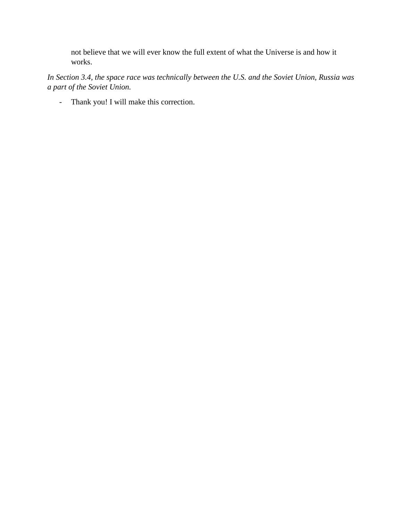not believe that we will ever know the full extent of what the Universe is and how it works.

*In Section 3.4, the space race was technically between the U.S. and the Soviet Union, Russia was a part of the Soviet Union.*

- Thank you! I will make this correction.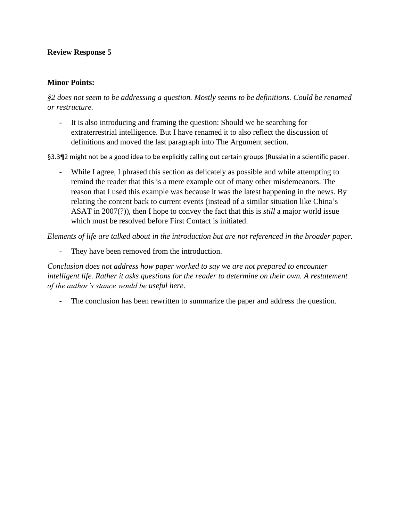#### **Minor Points:**

*§2 does not seem to be addressing a question. Mostly seems to be definitions. Could be renamed or restructure.*

- It is also introducing and framing the question: Should we be searching for extraterrestrial intelligence. But I have renamed it to also reflect the discussion of definitions and moved the last paragraph into The Argument section.

§3.3¶2 might not be a good idea to be explicitly calling out certain groups (Russia) in a scientific paper.

- While I agree, I phrased this section as delicately as possible and while attempting to remind the reader that this is a mere example out of many other misdemeanors. The reason that I used this example was because it was the latest happening in the news. By relating the content back to current events (instead of a similar situation like China's ASAT in 2007(?)), then I hope to convey the fact that this is *still* a major world issue which must be resolved before First Contact is initiated.

*Elements of life are talked about in the introduction but are not referenced in the broader paper.*

- They have been removed from the introduction.

*Conclusion does not address how paper worked to say we are not prepared to encounter intelligent life. Rather it asks questions for the reader to determine on their own. A restatement of the author's stance would be useful here.*

- The conclusion has been rewritten to summarize the paper and address the question.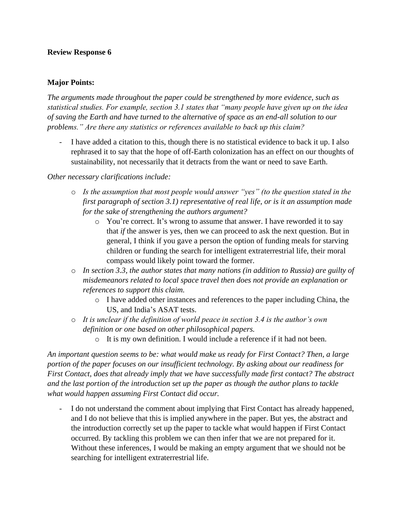#### **Major Points:**

*The arguments made throughout the paper could be strengthened by more evidence, such as statistical studies. For example, section 3.1 states that "many people have given up on the idea of saving the Earth and have turned to the alternative of space as an end-all solution to our problems." Are there any statistics or references available to back up this claim?* 

- I have added a citation to this, though there is no statistical evidence to back it up. I also rephrased it to say that the hope of off-Earth colonization has an effect on our thoughts of sustainability, not necessarily that it detracts from the want or need to save Earth.

#### *Other necessary clarifications include:*

- o *Is the assumption that most people would answer "yes" (to the question stated in the first paragraph of section 3.1) representative of real life, or is it an assumption made for the sake of strengthening the authors argument?* 
	- o You're correct. It's wrong to assume that answer. I have reworded it to say that *if* the answer is yes, then we can proceed to ask the next question. But in general, I think if you gave a person the option of funding meals for starving children or funding the search for intelligent extraterrestrial life, their moral compass would likely point toward the former.
- o *In section 3.3, the author states that many nations (in addition to Russia) are guilty of misdemeanors related to local space travel then does not provide an explanation or references to support this claim.* 
	- o I have added other instances and references to the paper including China, the US, and India's ASAT tests.
- o *It is unclear if the definition of world peace in section 3.4 is the author's own definition or one based on other philosophical papers.*
	- o It is my own definition. I would include a reference if it had not been.

*An important question seems to be: what would make us ready for First Contact? Then, a large portion of the paper focuses on our insufficient technology. By asking about our readiness for First Contact, does that already imply that we have successfully made first contact? The abstract and the last portion of the introduction set up the paper as though the author plans to tackle what would happen assuming First Contact did occur.*

I do not understand the comment about implying that First Contact has already happened, and I do not believe that this is implied anywhere in the paper. But yes, the abstract and the introduction correctly set up the paper to tackle what would happen if First Contact occurred. By tackling this problem we can then infer that we are not prepared for it. Without these inferences, I would be making an empty argument that we should not be searching for intelligent extraterrestrial life.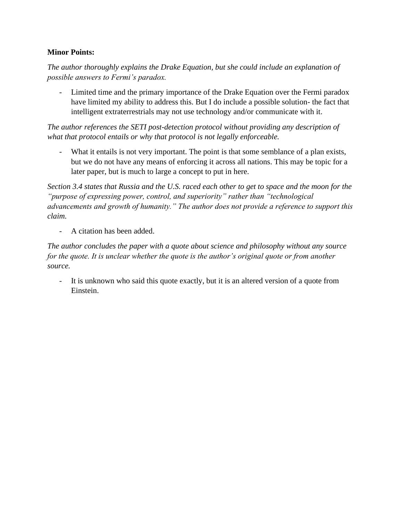## **Minor Points:**

*The author thoroughly explains the Drake Equation, but she could include an explanation of possible answers to Fermi's paradox.*

- Limited time and the primary importance of the Drake Equation over the Fermi paradox have limited my ability to address this. But I do include a possible solution- the fact that intelligent extraterrestrials may not use technology and/or communicate with it.

*The author references the SETI post-detection protocol without providing any description of what that protocol entails or why that protocol is not legally enforceable.*

What it entails is not very important. The point is that some semblance of a plan exists, but we do not have any means of enforcing it across all nations. This may be topic for a later paper, but is much to large a concept to put in here.

*Section 3.4 states that Russia and the U.S. raced each other to get to space and the moon for the "purpose of expressing power, control, and superiority" rather than "technological advancements and growth of humanity." The author does not provide a reference to support this claim.*

- A citation has been added.

*The author concludes the paper with a quote about science and philosophy without any source for the quote. It is unclear whether the quote is the author's original quote or from another source.*

- It is unknown who said this quote exactly, but it is an altered version of a quote from Einstein.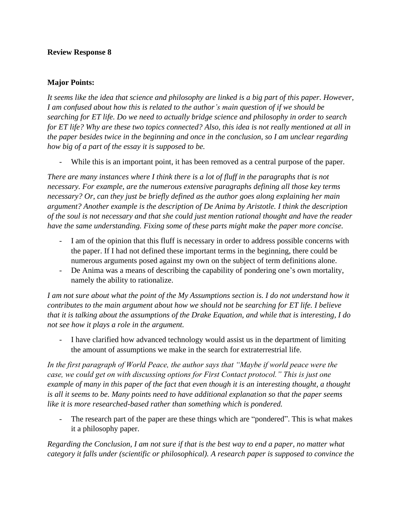#### **Major Points:**

*It seems like the idea that science and philosophy are linked is a big part of this paper. However, I am confused about how this is related to the author's main question of if we should be searching for ET life. Do we need to actually bridge science and philosophy in order to search for ET life? Why are these two topics connected? Also, this idea is not really mentioned at all in the paper besides twice in the beginning and once in the conclusion, so I am unclear regarding how big of a part of the essay it is supposed to be.*

- While this is an important point, it has been removed as a central purpose of the paper.

*There are many instances where I think there is a lot of fluff in the paragraphs that is not necessary. For example, are the numerous extensive paragraphs defining all those key terms necessary? Or, can they just be briefly defined as the author goes along explaining her main argument? Another example is the description of De Anima by Aristotle. I think the description of the soul is not necessary and that she could just mention rational thought and have the reader have the same understanding. Fixing some of these parts might make the paper more concise.*

- I am of the opinion that this fluff is necessary in order to address possible concerns with the paper. If I had not defined these important terms in the beginning, there could be numerous arguments posed against my own on the subject of term definitions alone.
- De Anima was a means of describing the capability of pondering one's own mortality, namely the ability to rationalize.

*I am not sure about what the point of the My Assumptions section is. I do not understand how it contributes to the main argument about how we should not be searching for ET life. I believe that it is talking about the assumptions of the Drake Equation, and while that is interesting, I do not see how it plays a role in the argument.*

- I have clarified how advanced technology would assist us in the department of limiting the amount of assumptions we make in the search for extraterrestrial life.

*In the first paragraph of World Peace, the author says that "Maybe if world peace were the case, we could get on with discussing options for First Contact protocol." This is just one example of many in this paper of the fact that even though it is an interesting thought, a thought is all it seems to be. Many points need to have additional explanation so that the paper seems like it is more researched-based rather than something which is pondered.*

- The research part of the paper are these things which are "pondered". This is what makes it a philosophy paper.

*Regarding the Conclusion, I am not sure if that is the best way to end a paper, no matter what category it falls under (scientific or philosophical). A research paper is supposed to convince the*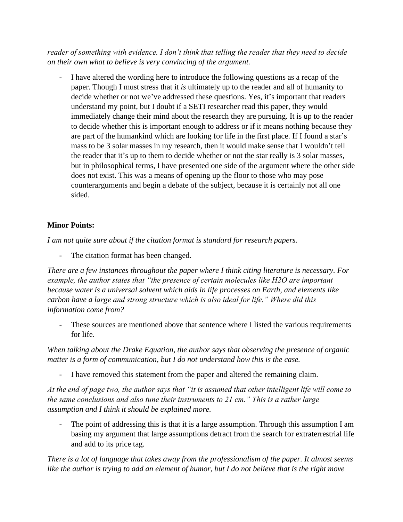*reader of something with evidence. I don't think that telling the reader that they need to decide on their own what to believe is very convincing of the argument.*

- I have altered the wording here to introduce the following questions as a recap of the paper. Though I must stress that it *is* ultimately up to the reader and all of humanity to decide whether or not we've addressed these questions. Yes, it's important that readers understand my point, but I doubt if a SETI researcher read this paper, they would immediately change their mind about the research they are pursuing. It is up to the reader to decide whether this is important enough to address or if it means nothing because they are part of the humankind which are looking for life in the first place. If I found a star's mass to be 3 solar masses in my research, then it would make sense that I wouldn't tell the reader that it's up to them to decide whether or not the star really is 3 solar masses, but in philosophical terms, I have presented one side of the argument where the other side does not exist. This was a means of opening up the floor to those who may pose counterarguments and begin a debate of the subject, because it is certainly not all one sided.

# **Minor Points:**

*I am not quite sure about if the citation format is standard for research papers.*

- The citation format has been changed.

*There are a few instances throughout the paper where I think citing literature is necessary. For example, the author states that "the presence of certain molecules like H2O are important because water is a universal solvent which aids in life processes on Earth, and elements like carbon have a large and strong structure which is also ideal for life." Where did this information come from?* 

These sources are mentioned above that sentence where I listed the various requirements for life.

*When talking about the Drake Equation, the author says that observing the presence of organic matter is a form of communication, but I do not understand how this is the case.* 

I have removed this statement from the paper and altered the remaining claim.

*At the end of page two, the author says that "it is assumed that other intelligent life will come to the same conclusions and also tune their instruments to 21 cm." This is a rather large assumption and I think it should be explained more.* 

The point of addressing this is that it is a large assumption. Through this assumption I am basing my argument that large assumptions detract from the search for extraterrestrial life and add to its price tag.

*There is a lot of language that takes away from the professionalism of the paper. It almost seems like the author is trying to add an element of humor, but I do not believe that is the right move*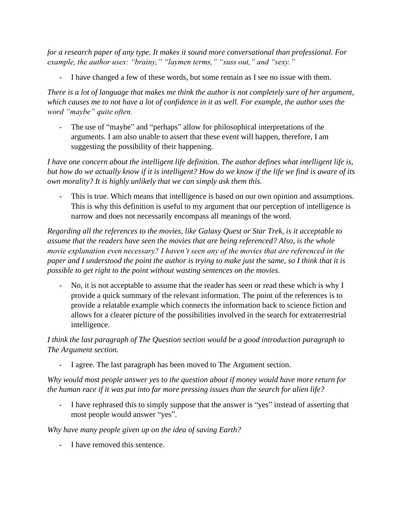*for a research paper of any type. It makes it sound more conversational than professional. For example, the author uses: "brainy," "laymen terms," "suss out," and "sexy."* 

- I have changed a few of these words, but some remain as I see no issue with them.

*There is a lot of language that makes me think the author is not completely sure of her argument, which causes me to not have a lot of confidence in it as well. For example, the author uses the word "maybe" quite often.* 

- The use of "maybe" and "perhaps" allow for philosophical interpretations of the arguments. I am also unable to assert that these event will happen, therefore, I am suggesting the possibility of their happening.

*I have one concern about the intelligent life definition. The author defines what intelligent life is, but how do we actually know if it is intelligent? How do we know if the life we find is aware of its own morality? It is highly unlikely that we can simply ask them this.* 

- This is true. Which means that intelligence is based on our own opinion and assumptions. This is why this definition is useful to my argument that our perception of intelligence is narrow and does not necessarily encompass all meanings of the word.

*Regarding all the references to the movies, like Galaxy Quest or Star Trek, is it acceptable to assume that the readers have seen the movies that are being referenced? Also, is the whole movie explanation even necessary? I haven't seen any of the movies that are referenced in the paper and I understood the point the author is trying to make just the same, so I think that it is possible to get right to the point without wasting sentences on the movies.* 

No, it is not acceptable to assume that the reader has seen or read these which is why I provide a quick summary of the relevant information. The point of the references is to provide a relatable example which connects the information back to science fiction and allows for a clearer picture of the possibilities involved in the search for extraterrestrial intelligence.

*I think the last paragraph of The Question section would be a good introduction paragraph to The Argument section.* 

I agree. The last paragraph has been moved to The Argument section.

*Why would most people answer yes to the question about if money would have more return for the human race if it was put into far more pressing issues than the search for alien life?* 

- I have rephrased this to simply suppose that the answer is "yes" instead of asserting that most people would answer "yes".

*Why have many people given up on the idea of saving Earth?* 

I have removed this sentence.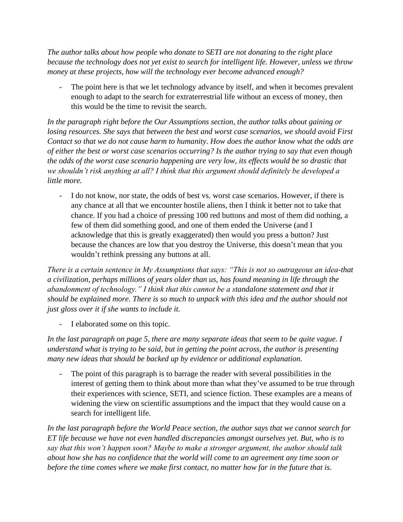*The author talks about how people who donate to SETI are not donating to the right place because the technology does not yet exist to search for intelligent life. However, unless we throw money at these projects, how will the technology ever become advanced enough?* 

The point here is that we let technology advance by itself, and when it becomes prevalent enough to adapt to the search for extraterrestrial life without an excess of money, then this would be the time to revisit the search.

*In the paragraph right before the Our Assumptions section, the author talks about gaining or losing resources. She says that between the best and worst case scenarios, we should avoid First Contact so that we do not cause harm to humanity. How does the author know what the odds are of either the best or worst case scenarios occurring? Is the author trying to say that even though the odds of the worst case scenario happening are very low, its effects would be so drastic that we shouldn't risk anything at all? I think that this argument should definitely be developed a little more.*

- I do not know, nor state, the odds of best vs. worst case scenarios. However, if there is any chance at all that we encounter hostile aliens, then I think it better not to take that chance. If you had a choice of pressing 100 red buttons and most of them did nothing, a few of them did something good, and one of them ended the Universe (and I acknowledge that this is greatly exaggerated) then would you press a button? Just because the chances are low that you destroy the Universe, this doesn't mean that you wouldn't rethink pressing any buttons at all.

*There is a certain sentence in My Assumptions that says: "This is not so outrageous an idea-that a civilization, perhaps millions of years older than us, has found meaning in life through the abandonment of technology." I think that this cannot be a standalone statement and that it should be explained more. There is so much to unpack with this idea and the author should not just gloss over it if she wants to include it.* 

- I elaborated some on this topic.

*In the last paragraph on page 5, there are many separate ideas that seem to be quite vague. I understand what is trying to be said, but in getting the point across, the author is presenting many new ideas that should be backed up by evidence or additional explanation.* 

The point of this paragraph is to barrage the reader with several possibilities in the interest of getting them to think about more than what they've assumed to be true through their experiences with science, SETI, and science fiction. These examples are a means of widening the view on scientific assumptions and the impact that they would cause on a search for intelligent life.

*In the last paragraph before the World Peace section, the author says that we cannot search for ET life because we have not even handled discrepancies amongst ourselves yet. But, who is to say that this won't happen soon? Maybe to make a stronger argument, the author should talk about how she has no confidence that the world will come to an agreement any time soon or before the time comes where we make first contact, no matter how far in the future that is.*